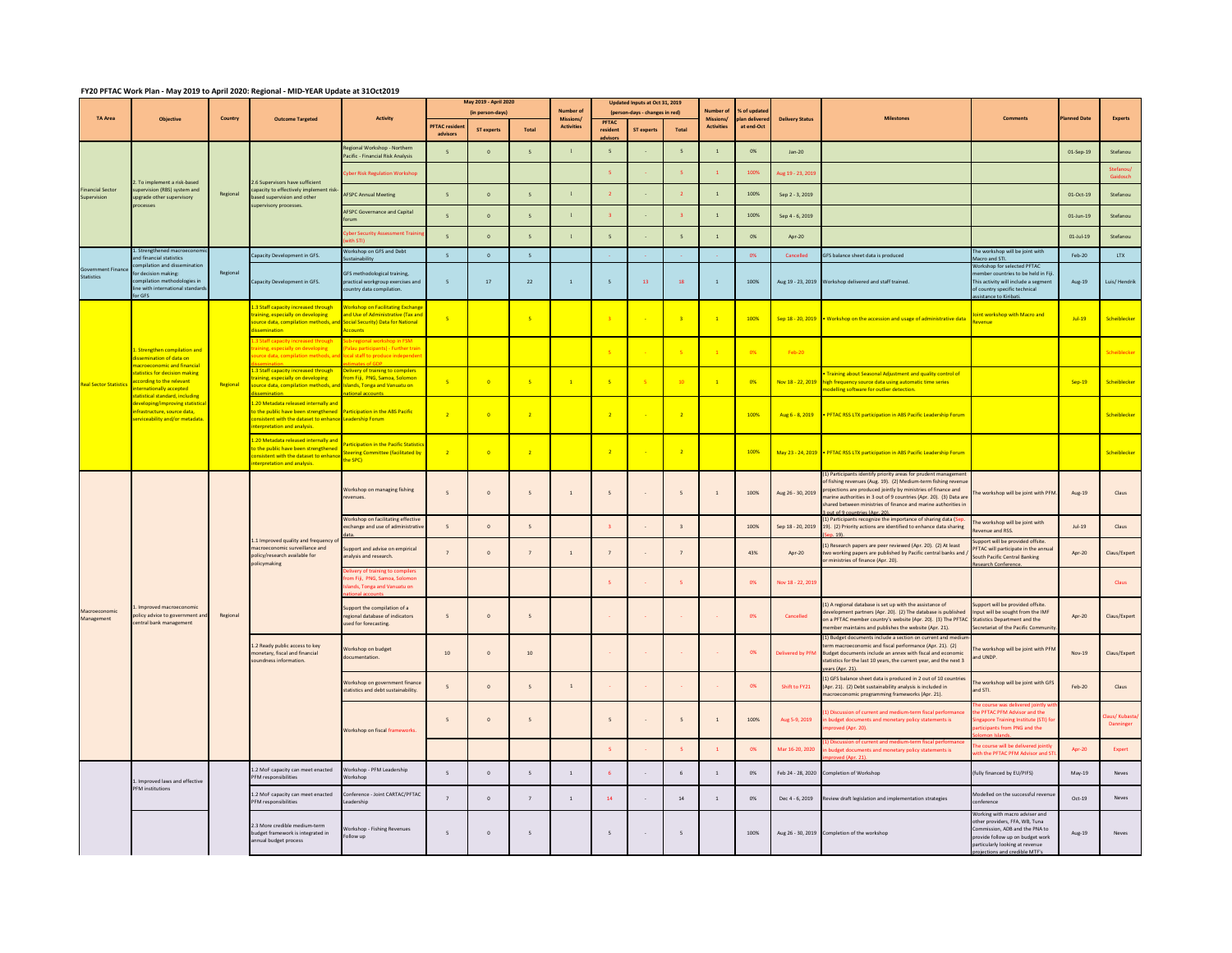## **FY20 PFTAC Work Plan - May 2019 to April 2020: Regional - MID-YEAR Update at 31Oct2019**

|                                  |                                                                                                                                                                                                                                                                                                                   |          |                                                                                                                                                                 |                                                                                                                                                | May 2019 - April 2020            |              |                          |                               | Updated Inputs at Oct 31, 2019 |                                |                          |                  |                     |                        |                                                                                                                                                                                                                                                                                                                                                                           |                                                                                                                                                                                                    |               |                           |
|----------------------------------|-------------------------------------------------------------------------------------------------------------------------------------------------------------------------------------------------------------------------------------------------------------------------------------------------------------------|----------|-----------------------------------------------------------------------------------------------------------------------------------------------------------------|------------------------------------------------------------------------------------------------------------------------------------------------|----------------------------------|--------------|--------------------------|-------------------------------|--------------------------------|--------------------------------|--------------------------|------------------|---------------------|------------------------|---------------------------------------------------------------------------------------------------------------------------------------------------------------------------------------------------------------------------------------------------------------------------------------------------------------------------------------------------------------------------|----------------------------------------------------------------------------------------------------------------------------------------------------------------------------------------------------|---------------|---------------------------|
| <b>TA</b> Area                   | Objective                                                                                                                                                                                                                                                                                                         | Country  | <b>Outcome Targeted</b>                                                                                                                                         | Activity                                                                                                                                       | (in person-days)                 |              |                          | <b>Number of</b><br>Missions/ | PFTAC                          | (person-days - changes in red) |                          | <b>Missions</b>  | of up<br>an deliver | <b>Delivery Status</b> | <b>Milestone</b>                                                                                                                                                                                                                                                                                                                                                          | <b>Comments</b>                                                                                                                                                                                    | nned Dati     | <b>Experts</b>            |
|                                  |                                                                                                                                                                                                                                                                                                                   |          |                                                                                                                                                                 |                                                                                                                                                | <b>PFTAC</b> resider<br>advisors | ST experts   | Total                    | <b>Activitie</b>              | resident                       | ST expert                      | Total                    | <b>Activitie</b> | at end-Oct          |                        |                                                                                                                                                                                                                                                                                                                                                                           |                                                                                                                                                                                                    |               |                           |
| inancial Sector<br>Supervision   | To implement a risk-based<br>pervision (RBS) system and<br>pgrade other supervisory<br>ocesses                                                                                                                                                                                                                    | Regional | 6 Supervisors have sufficient<br>apacity to effectively implement risk<br>ased supervision and other<br>upervisory processes.                                   | Regional Workshop - Northern<br>acific - Financial Risk Analysis                                                                               | $\overline{\phantom{a}}$         | $\circ$      | $\overline{\phantom{a}}$ | $\overline{1}$                | $\overline{\phantom{a}}$       |                                | $\overline{\phantom{a}}$ | $\overline{1}$   | 0%                  | $Jan-20$               |                                                                                                                                                                                                                                                                                                                                                                           |                                                                                                                                                                                                    | 01-Sep-19     | Stefanou                  |
|                                  |                                                                                                                                                                                                                                                                                                                   |          |                                                                                                                                                                 | ber Risk Regulation Workshop                                                                                                                   |                                  |              |                          |                               |                                |                                |                          |                  | 100%                | lug 19 - 23, 201       |                                                                                                                                                                                                                                                                                                                                                                           |                                                                                                                                                                                                    |               |                           |
|                                  |                                                                                                                                                                                                                                                                                                                   |          |                                                                                                                                                                 | <b>AFSPC Annual Meeting</b>                                                                                                                    | 5                                | $\circ$      | $\overline{\phantom{a}}$ | $\mathbf{1}$                  | $\overline{2}$                 |                                | $\overline{2}$           | $\overline{1}$   | 100%                | Sep 2 - 3, 2019        |                                                                                                                                                                                                                                                                                                                                                                           |                                                                                                                                                                                                    | 01-Oct-19     | Stefanou                  |
|                                  |                                                                                                                                                                                                                                                                                                                   |          |                                                                                                                                                                 | AFSPC Governance and Capital                                                                                                                   | $5\overline{5}$                  | $\mathbf 0$  | $\overline{\phantom{a}}$ |                               | $\overline{\mathbf{3}}$        |                                | $\overline{\mathbf{3}}$  | $\,$ 1 $\,$      | 100%                | Sep 4 - 6, 2019        |                                                                                                                                                                                                                                                                                                                                                                           |                                                                                                                                                                                                    | $01$ -Jun-19  | Stefanou                  |
|                                  |                                                                                                                                                                                                                                                                                                                   |          |                                                                                                                                                                 | ber Security Assessment Train                                                                                                                  | 5                                | $\circ$      | 5                        | $\overline{1}$                | $\overline{\phantom{a}}$       |                                | $\overline{\phantom{a}}$ | $\,$ 1 $\,$      | 0%                  | Apr-20                 |                                                                                                                                                                                                                                                                                                                                                                           |                                                                                                                                                                                                    | $01$ -Jul-19  | Stefanou                  |
|                                  | Strengthened mac<br>nd financial statistics                                                                                                                                                                                                                                                                       |          | apacity Development in GFS.                                                                                                                                     | Vorkshop on GFS and Debt                                                                                                                       | 5 <sup>1</sup>                   | $\,$ 0 $\,$  | 5                        |                               |                                |                                |                          |                  | 0%                  | Cancelled              | GFS balance sheet data is produced                                                                                                                                                                                                                                                                                                                                        | he workshop will be joint with<br>acro and STI.                                                                                                                                                    | Feb-20        | LTX                       |
| Sovernment Finance<br>Statistics | mpilation and dissemi<br>r decision making:<br>ompilation methodologies in<br>ne with international standard<br><b>CGES</b>                                                                                                                                                                                       | Regional | apacity Development in GFS.                                                                                                                                     | GFS methodological training,<br>practical workgroup exercises and<br>buntry data compilation.                                                  | $\sqrt{5}$                       | $17\,$       | $22\,$                   | $\,$ 1 $\,$                   | $\sqrt{5}$                     | 13                             | 18                       | $\,$ 1           | 100%                | Aug 19 - 23, 2019      | Workshop delivered and staff trained.                                                                                                                                                                                                                                                                                                                                     | <b>Norkshop for selected PFTAC</b><br>ember countries to be held in Fij<br>This activity will include a segment<br>of country specific technical<br>istance to Kiribati                            | $Aug-19$      | Luis/ Hendrik             |
| <b>Real Sector Statistic</b>     | . Strengthen compilation and<br>semination of data on<br><b>croeconomic and financial</b><br>atistics for decision making<br>cording to the relevant<br>ternationally accepted<br>statistical standard, including<br>eveloping/improving statistic<br>frastructure, source data,<br>erviceability and/or metadata | Regional | 1.3 Staff capacity increased through<br>raining, especially on developing<br>ource data, compilation methods, and<br>semination                                 | <b>Workshop on Facilitating Exchange</b><br>ind Use of Administrative (Tax and<br><b>Social Security) Data for National</b><br><b>Accounts</b> | -5                               |              | -5                       |                               | $\overline{\phantom{a}}$       |                                | $\overline{3}$           |                  | 100%                |                        | Sep 18 - 20, 2019 . Workshop on the accession and usage of administrative data                                                                                                                                                                                                                                                                                            | Joint workshop with Macro and                                                                                                                                                                      | $Jul-19$      | Scheiblecker              |
|                                  |                                                                                                                                                                                                                                                                                                                   |          | ing, especially on developing<br>rce data, compilation methods                                                                                                  | egional workshop in FSM<br>ilau participants) - Further trair<br>cal staff to produce independe                                                |                                  |              |                          |                               |                                |                                | -5                       |                  | 0%                  | Feb-20                 |                                                                                                                                                                                                                                                                                                                                                                           |                                                                                                                                                                                                    |               | Scheiblecke               |
|                                  |                                                                                                                                                                                                                                                                                                                   |          | 3 Staff capacity increased through<br>ning, especially on developing<br>ource data, compilation methods, an                                                     | <mark>ivery of training to compilers</mark><br>om Fiji, PNG, Samoa, Solomon<br><b>Islands, Tonga and Vanuatu on</b>                            | -51                              | $\sqrt{2}$   | -5                       | $\overline{1}$                | -5                             |                                | $-10$                    | -1               | 0%                  | Nov 18 - 22, 2019      | Training about Seasonal Adjustment and quality control of<br>high frequency source data using automatic time series<br>odelling software for outlier detection.                                                                                                                                                                                                           |                                                                                                                                                                                                    | <b>Sen-19</b> | Scheiblecker              |
|                                  |                                                                                                                                                                                                                                                                                                                   |          | .20 Metadata released internally an<br>o the public have been strengthened<br>sistent with the dataset to enhance Leadership Forum<br>erpretation and analysis. | <b>Participation in the ABS Pacific</b>                                                                                                        | $\rightarrow$                    | $\sqrt{2}$   | $\overline{z}$           |                               | $\overline{2}$                 |                                | $\overline{2}$           |                  | 100%                |                        | Aug 6 - 8, 2019 • PFTAC RSS LTX participation in ABS Pacific Leadership Forum                                                                                                                                                                                                                                                                                             |                                                                                                                                                                                                    |               | Scheiblecker              |
|                                  |                                                                                                                                                                                                                                                                                                                   |          | 1.20 Metadata released internally and<br>o the public have been strengthened<br>onsistent with the dataset to enhance<br><b>Iterpretation and analysis.</b>     | <b>Participation in the Pacific Statisti</b><br><b>Steering Committee (facilitated by</b><br>the SPC)                                          | $\overline{2}$                   | $\sqrt{2}$   | $\overline{z}$           |                               | $\overline{2}$                 |                                | $\overline{2}$           |                  | 100%                |                        | May 23 - 24, 2019 . PFTAC RSS LTX participation in ABS Pacific Leadership Forum                                                                                                                                                                                                                                                                                           |                                                                                                                                                                                                    |               | Scheiblecker              |
| lacroeconomi<br>Management       | Improved macroeconomic<br>plicy advice to government an<br>entral bank management                                                                                                                                                                                                                                 | Regional | 1.1 Improved quality and frequency of<br>macroeconomic surveillance and<br>policy/research available for<br>policymaking                                        | Workshop on managing fishing<br>evenues.                                                                                                       | 5                                | $\circ$      | 5                        | $\overline{1}$                | 5                              |                                | $\overline{5}$           | $\mathbf{1}$     | 100%                | Aug 26 - 30, 2019      | (1) Participants identify priority areas for prudent managemer<br>of fishing revenues (Aug. 19). (2) Medium-term fishing revenu<br>projections are produced jointly by ministries of finance and<br>marine authorities in 3 out of 9 countries (Apr. 20). (3) Data are<br>shared between ministries of finance and marine authorities in<br>out of 9 countries (Apr. 20). | The workshop will be joint with PFM                                                                                                                                                                | Aug-19        | Claus                     |
|                                  |                                                                                                                                                                                                                                                                                                                   |          |                                                                                                                                                                 | Workshop on facilitating effective<br>xchange and use of administrative                                                                        | 5 <sup>1</sup>                   | $\Omega$     | 5 <sup>2</sup>           |                               | $\overline{3}$                 |                                | $\overline{z}$           |                  | 100%                |                        | (1) Participants recognize the importance of sharing data (S<br>Sep 18 - 20, 2019 19). (2) Priority actions are identified to enhance data sharing                                                                                                                                                                                                                        | The workshop will be joint with<br>wenue and RSS.                                                                                                                                                  | $ln1-19$      | Claus                     |
|                                  |                                                                                                                                                                                                                                                                                                                   |          |                                                                                                                                                                 | support and advise on empirical<br>analysis and research.                                                                                      |                                  | $\circ$      |                          |                               | $\overline{7}$                 |                                | $\overline{7}$           |                  | 43%                 | Apr-20                 | (1) Research papers are peer reviewed (Apr. 20). (2) At least<br>two working papers are published by Pacific central banks and<br>ministries of finance (Apr. 20).                                                                                                                                                                                                        | pport will be provided offsite.<br><b>PFTAC will participate in the annua</b><br>South Pacific Central Banking<br>search Conference                                                                | Apr-20        | Claus/Expert              |
|                                  |                                                                                                                                                                                                                                                                                                                   |          |                                                                                                                                                                 | m Fiji, PNG, Samoa, Solomor<br>ands, Tonga and Vanuatu on                                                                                      |                                  |              |                          |                               |                                |                                |                          |                  | 0%                  | Nov 18 - 22, 2019      |                                                                                                                                                                                                                                                                                                                                                                           |                                                                                                                                                                                                    |               | <b>Claus</b>              |
|                                  |                                                                                                                                                                                                                                                                                                                   |          |                                                                                                                                                                 | upport the compilation of a<br>egional database of indicators<br>ised for forecasting.                                                         | $5\overline{5}$                  | $\circ$      | 5                        |                               |                                |                                |                          |                  | 0%                  | Cancelled              | (1) A regional database is set up with the assistance of<br>evelopment partners (Apr. 20). (2) The database is published<br>on a PFTAC member country's website (Apr. 20). (3) The PFTAC<br>nember maintains and publishes the website (Apr. 21).                                                                                                                         | pport will be provided offsite.<br>put will be sought from the IMF<br>Statistics Department and the<br>Secretariat of the Pacific Communi                                                          | Apr-20        | Claus/Expert              |
|                                  |                                                                                                                                                                                                                                                                                                                   |          | 1.2 Ready public access to key<br>monetary, fiscal and financial<br>oundness information.                                                                       | Vorkshop on budget<br>ocumentation.                                                                                                            | 10 <sup>°</sup>                  | $\mathbf{0}$ | 10                       |                               |                                |                                |                          |                  | 0%                  |                        | (1) Budget documents include a section on current and medi<br>term macroeconomic and fiscal performance (Apr. 21). (2)<br>Hivered by PFM Budget documents include an annex with fiscal and economic<br>statistics for the last 10 years, the current year, and the next 3<br>ars (Apr. 21)                                                                                | e workshop will be joint with PFM<br>and UNDP.                                                                                                                                                     | Nov-19        | Claus/Expert              |
|                                  |                                                                                                                                                                                                                                                                                                                   |          |                                                                                                                                                                 | Vorkshop on government finance<br>atistics and debt sustainability.                                                                            | 5 <sup>1</sup>                   | $\Omega$     | 5 <sup>1</sup>           | $\overline{1}$                |                                |                                |                          |                  | 0%                  | Shift to FY21          | (1) GES balance sheet data is produced in 2 out of 10 countries<br>(Apr. 21). (2) Debt sustainability analysis is included in<br>macroeconomic programming frameworks (Apr. 21).                                                                                                                                                                                          | he workshop will be joint with GF!<br>and STI.                                                                                                                                                     | Feb-20        | Claus                     |
|                                  |                                                                                                                                                                                                                                                                                                                   |          |                                                                                                                                                                 | Vorkshop on fiscal frameworks.                                                                                                                 | $\overline{5}$                   | $\Omega$     | $\overline{5}$           |                               | $\overline{\phantom{a}}$       |                                | $\overline{\phantom{a}}$ | $\overline{1}$   | 100%                | Aug 5-9, 2019          | ) Discussion of current and medium-term fiscal performanc<br>in budget documents and monetary policy statements is<br>roved (Apr. 20).                                                                                                                                                                                                                                    | e PFTAC PFM Advisor and the<br>gapore Training Institute (STI) fo<br>ipants from PNG and the                                                                                                       |               | aus/ Kubasta<br>Danninger |
|                                  |                                                                                                                                                                                                                                                                                                                   |          |                                                                                                                                                                 |                                                                                                                                                |                                  |              |                          |                               | $\overline{\mathbf{5}}$        |                                | $\overline{\phantom{a}}$ | $\overline{1}$   | 0%                  | Mar 16-20, 2020        | Discussion of current and medium-term fiscal perfo<br>h budget documents and monetary policy statements is                                                                                                                                                                                                                                                                | e course will be delivered jointly<br>h the PFTAC PFM Advisor and                                                                                                                                  | Apr-20        | Expert                    |
|                                  | Improved laws and effective<br>FM institutions                                                                                                                                                                                                                                                                    |          | 1.2 MoF capacity can meet enacted<br>PFM responsibilities                                                                                                       | Vorkshop - PFM Leadership<br>Vorkshop                                                                                                          | $\sqrt{5}$                       | $\mathbb O$  | $5\overline{5}$          | $\,$ 1                        | $6\phantom{a}$                 |                                | $\,$ 6 $\,$              | $\,$ 1           | 0%                  | Feb 24 - 28, 2020      | Completion of Workshop                                                                                                                                                                                                                                                                                                                                                    | fully financed by EU/PIFS)                                                                                                                                                                         | May-19        | Neves                     |
|                                  |                                                                                                                                                                                                                                                                                                                   |          | 1.2 MoF capacity can meet enacted<br>FM responsibilities                                                                                                        | onference - Joint CARTAC/PFTAC<br>eadership                                                                                                    | 7                                | $\circ$      | 7                        | $\overline{1}$                | 14                             |                                | $14\,$                   | $\mathbf{1}$     | 0%                  | Dec 4 - 6, 2019        | Review draft legislation and implementation strategies                                                                                                                                                                                                                                                                                                                    | fodelled on the successful revenu<br>onference                                                                                                                                                     | $Oct-19$      | Neves                     |
|                                  |                                                                                                                                                                                                                                                                                                                   |          | 2.3 More credible medium-term<br>budget framework is integrated in<br>annual budget process                                                                     | Workshop - Fishing Revenues<br>Follow up                                                                                                       | $5\overline{5}$                  | $\circ$      | 5                        |                               | $\overline{\phantom{a}}$       |                                | $\overline{\phantom{a}}$ |                  | 100%                |                        | Aug 26 - 30, 2019 Completion of the workshop                                                                                                                                                                                                                                                                                                                              | Working with macro adviser and<br>other providers, FFA, WB, Tuna<br>Commission, ADB and the PNA to<br>provide follow up on budget work<br>articularly looking at revenue<br>dible MTF <sup>1</sup> | Aug-19        | Neves                     |